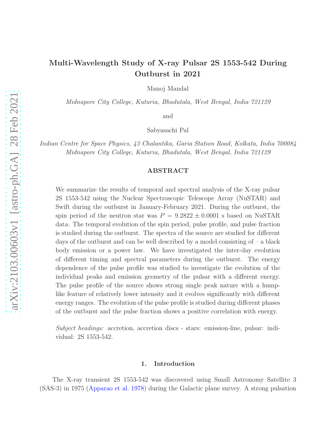# Multi-Wavelength Study of X-ray Pulsar 2S 1553-542 During Outburst in 2021

Manoj Mandal

Midnapore City College, Kuturia, Bhadutala, West Bengal, India 721129

and

Sabyasachi Pal

Indian Centre for Space Physics, 43 Chalantika, Garia Station Road, Kolkata, India 700084 Midnapore City College, Kuturia, Bhadutala, West Bengal, India 721129

## ABSTRACT

We summarize the results of temporal and spectral analysis of the X-ray pulsar 2S 1553-542 using the Nuclear Spectroscopic Telescope Array (NuSTAR) and Swift during the outburst in January-February 2021. During the outburst, the spin period of the neutron star was  $P = 9.2822 \pm 0.0001$  s based on NuSTAR data. The temporal evolution of the spin period, pulse profile, and pulse fraction is studied during the outburst. The spectra of the source are studied for different days of the outburst and can be well described by a model consisting of  $-$  a black body emission or a power law. We have investigated the inter-day evolution of different timing and spectral parameters during the outburst. The energy dependence of the pulse profile was studied to investigate the evolution of the individual peaks and emission geometry of the pulsar with a different energy. The pulse profile of the source shows strong single peak nature with a humplike feature of relatively lower intensity and it evolves significantly with different energy ranges. The evolution of the pulse profile is studied during different phases of the outburst and the pulse fraction shows a positive correlation with energy.

Subject headings: accretion, accretion discs - stars: emission-line, pulsar: individual: 2S 1553-542.

#### 1. Introduction

The X-ray transient 2S 1553-542 was discovered using Small Astronomy Satellite 3 (SAS-3) in 1975 [\(Apparao et al. 1978\)](#page-14-0) during the Galactic plane survey. A strong pulsation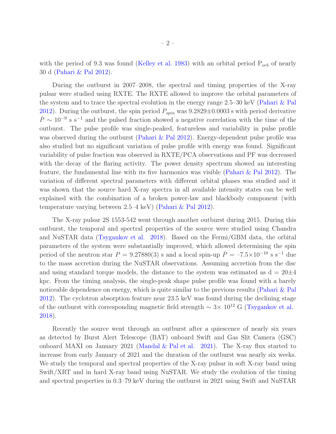with the period of 9.3 was found [\(Kelley et al. 1983\)](#page-15-0) with an orbital period  $P_{orb}$  of nearly 30 d [\(Pahari & Pal 2012](#page-15-1)).

During the outburst in 2007–2008, the spectral and timing properties of the X-ray pulsar were studied using RXTE. The RXTE allowed to improve the orbital parameters of the system and to trace the spectral evolution in the energy range 2.5–30 keV [\(Pahari & Pal](#page-15-1) [2012\)](#page-15-1). During the outburst, the spin period  $P_{spin}$  was  $9.2829 \pm 0.0003$  s with period derivative  $\dot{P} \sim 10^{-9}$  s s<sup>-1</sup> and the pulsed fraction showed a negative correlation with the time of the outburst. The pulse profile was single-peaked, featureless and variability in pulse profile was observed during the outburst [\(Pahari & Pal 2012](#page-15-1)). Energy-dependent pulse profile was also studied but no significant variation of pulse profile with energy was found. Significant variability of pulse fraction was observed in RXTE/PCA observations and PF was decreased with the decay of the flaring activity. The power density spectrum showed an interesting feature, the fundamental line with its five harmonics was visible [\(Pahari & Pal 2012\)](#page-15-1). The variation of different spectral parameters with different orbital phases was studied and it was shown that the source hard X-ray spectra in all available intensity states can be well explained with the combination of a broken power-law and blackbody component (with temperature varying between 2.5–4 keV) [\(Pahari & Pal 2012\)](#page-15-1).

The X-ray pulsar 2S 1553-542 went through another outburst during 2015. During this outburst, the temporal and spectral properties of the source were studied using Chandra and NuSTAR data [\(Tsygankov et al. 2018](#page-15-2)). Based on the Fermi/GBM data, the orbital parameters of the system were substantially improved, which allowed determining the spin period of the neutron star  $P = 9.27880(3)$  s and a local spin-up  $\dot{P} = -7.5 \times 10^{-10}$  s s<sup>-1</sup> due to the mass accretion during the NuSTAR observations. Assuming accretion from the disc and using standard torque models, the distance to the system was estimated as  $d = 20 \pm 4$ kpc. From the timing analysis, the single-peak shape pulse profile was found with a barely noticeable dependence on energy, which is quite similar to the previous results [\(Pahari & Pal](#page-15-1) [2012\)](#page-15-1). The cyclotron absorption feature near 23.5 keV was found during the declining stage of the outburst with corresponding magnetic field strength  $\sim 3 \times 10^{12}$  G [\(Tsygankov et al.](#page-15-2) [2018\)](#page-15-2).

Recently the source went through an outburst after a quiescence of nearly six years as detected by Burst Alert Telescope (BAT) onboard Swift and Gas Slit Camera (GSC) onboard MAXI on January 2021 [\(Mandal & Pal et al. 2021\)](#page-15-3). The X-ray flux started to increase from early January of 2021 and the duration of the outburst was nearly six weeks. We study the temporal and spectral properties of the X-ray pulsar in soft X-ray band using Swift/XRT and in hard X-ray band using NuSTAR. We study the evolution of the timing and spectral properties in 0.3–79 keV during the outburst in 2021 using Swift and NuSTAR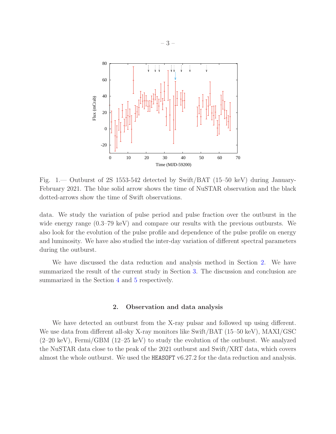

<span id="page-2-1"></span>Fig. 1.— Outburst of 2S 1553-542 detected by Swift/BAT (15–50 keV) during January-February 2021. The blue solid arrow shows the time of NuSTAR observation and the black dotted-arrows show the time of Swift observations.

data. We study the variation of pulse period and pulse fraction over the outburst in the wide energy range (0.3–79 keV) and compare our results with the previous outbursts. We also look for the evolution of the pulse profile and dependence of the pulse profile on energy and luminosity. We have also studied the inter-day variation of different spectral parameters during the outburst.

We have discussed the data reduction and analysis method in Section [2.](#page-2-0) We have summarized the result of the current study in Section [3.](#page-5-0) The discussion and conclusion are summarized in the Section [4](#page-12-0) and [5](#page-14-1) respectively.

# 2. Observation and data analysis

<span id="page-2-0"></span>We have detected an outburst from the X-ray pulsar and followed up using different. We use data from different all-sky X-ray monitors like Swift/BAT (15–50 keV), MAXI/GSC (2–20 keV), Fermi/GBM (12–25 keV) to study the evolution of the outburst. We analyzed the NuSTAR data close to the peak of the 2021 outburst and Swift/XRT data, which covers almost the whole outburst. We used the HEASOFT v6.27.2 for the data reduction and analysis.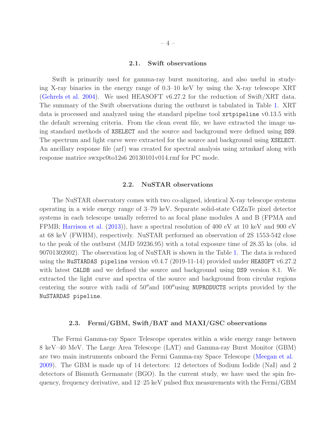#### 2.1. Swift observations

Swift is primarily used for gamma-ray burst monitoring, and also useful in studying X-ray binaries in the energy range of 0.3–10 keV by using the X-ray telescope XRT [\(Gehrels et al. 2004\)](#page-14-2). We used HEASOFT v6.27.2 for the reduction of Swift/XRT data. The summary of the Swift observations during the outburst is tabulated in Table [1.](#page-6-0) XRT data is processed and analyzed using the standard pipeline tool xrtpipeline v0.13.5 with the default screening criteria. From the clean event file, we have extracted the image using standard methods of XSELECT and the source and background were defined using DS9. The spectrum and light curve were extracted for the source and background using XSELECT. An ancillary response file (arf) was created for spectral analysis using xrtmkarf along with response matrice swxpc0to12s6 20130101v014.rmf for PC mode.

# 2.2. NuSTAR observations

The NuSTAR observatory comes with two co-aligned, identical X-ray telescope systems operating in a wide energy range of 3–79 keV. Separate solid-state CdZnTe pixel detector systems in each telescope usually referred to as focal plane modules A and B (FPMA and FPMB; [Harrison et al.](#page-15-4) [\(2013](#page-15-4))), have a spectral resolution of 400 eV at 10 keV and 900 eV at 68 keV (FWHM), respectively. NuSTAR performed an observation of 2S 1553-542 close to the peak of the outburst (MJD 59236.95) with a total exposure time of 28.35 ks (obs. id 90701302002). The observation log of NuSTAR is shown in the Table [1.](#page-6-0) The data is reduced using the NuSTARDAS pipeline version v0.4.7 (2019-11-14) provided under HEASOFT v6.27.2 with latest CALDB and we defined the source and background using DS9 version 8.1. We extracted the light curve and spectra of the source and background from circular regions centering the source with radii of 50′′and 100′′using NUPRODUCTS scripts provided by the NuSTARDAS pipeline.

#### 2.3. Fermi/GBM, Swift/BAT and MAXI/GSC observations

The Fermi Gamma-ray Space Telescope operates within a wide energy range between 8 keV–40 MeV. The Large Area Telescope (LAT) and Gamma-ray Burst Monitor (GBM) are two main instruments onboard the Fermi Gamma-ray Space Telescope [\(Meegan et al.](#page-15-5) [2009\)](#page-15-5). The GBM is made up of 14 detectors: 12 detectors of Sodium Iodide (NaI) and 2 detectors of Bismuth Germanate (BGO). In the current study, we have used the spin frequency, frequency derivative, and 12–25 keV pulsed flux measurements with the Fermi/GBM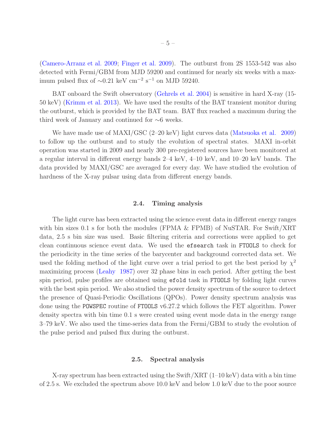[\(Camero-Arranz et al. 2009;](#page-14-3) [Finger et al. 2009\)](#page-14-4). The outburst from 2S 1553-542 was also detected with Fermi/GBM from MJD 59200 and continued for nearly six weeks with a maximum pulsed flux of  $\sim 0.21 \text{ keV cm}^{-2} \text{ s}^{-1}$  on MJD 59240.

BAT onboard the Swift observatory [\(Gehrels et al. 2004](#page-14-2)) is sensitive in hard X-ray (15- 50 keV) [\(Krimm et al. 2013\)](#page-15-6). We have used the results of the BAT transient monitor during the outburst, which is provided by the BAT team. BAT flux reached a maximum during the third week of January and continued for ∼6 weeks.

We have made use of MAXI/GSC (2–20 keV) light curves data [\(Matsuoka et al. 2009\)](#page-15-7) to follow up the outburst and to study the evolution of spectral states. MAXI in-orbit operation was started in 2009 and nearly 300 pre-registered sources have been monitored at a regular interval in different energy bands 2–4 keV, 4–10 keV, and 10–20 keV bands. The data provided by MAXI/GSC are averaged for every day. We have studied the evolution of hardness of the X-ray pulsar using data from different energy bands.

## 2.4. Timing analysis

The light curve has been extracted using the science event data in different energy ranges with bin sizes 0.1 s for both the modules (FPMA  $\&$  FPMB) of NuSTAR. For Swift/XRT data, 2.5 s bin size was used. Basic filtering criteria and corrections were applied to get clean continuous science event data. We used the efsearch task in FTOOLS to check for the periodicity in the time series of the barycenter and background corrected data set. We used the folding method of the light curve over a trial period to get the best period by  $\chi^2$ maximizing process [\(Leahy 1987\)](#page-15-8) over 32 phase bins in each period. After getting the best spin period, pulse profiles are obtained using efold task in FTOOLS by folding light curves with the best spin period. We also studied the power density spectrum of the source to detect the presence of Quasi-Periodic Oscillations (QPOs). Power density spectrum analysis was done using the POWSPEC routine of FTOOLS v6.27.2 which follows the FET algorithm. Power density spectra with bin time 0.1 s were created using event mode data in the energy range 3–79 keV. We also used the time-series data from the Fermi/GBM to study the evolution of the pulse period and pulsed flux during the outburst.

## 2.5. Spectral analysis

X-ray spectrum has been extracted using the Swift/XRT  $(1-10 \text{ keV})$  data with a bin time of 2.5 s. We excluded the spectrum above 10.0 keV and below 1.0 keV due to the poor source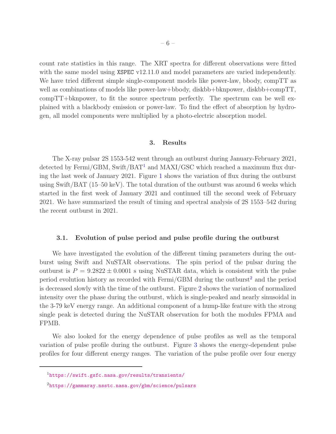count rate statistics in this range. The XRT spectra for different observations were fitted with the same model using XSPEC v12.11.0 and model parameters are varied independently. We have tried different simple single-component models like power-law, bbody, compTT as well as combinations of models like power-law+bbody, diskbb+bknpower, diskbb+compTT, compTT+bknpower, to fit the source spectrum perfectly. The spectrum can be well explained with a blackbody emission or power-law. To find the effect of absorption by hydrogen, all model components were multiplied by a photo-electric absorption model.

#### 3. Results

<span id="page-5-0"></span>The X-ray pulsar 2S 1553-542 went through an outburst during January-February 2021, detected by Fermi/GBM, Swift/BAT<sup>[1](#page-5-1)</sup> and MAXI/GSC which reached a maximum flux during the last week of January 2021. Figure [1](#page-2-1) shows the variation of flux during the outburst using Swift/BAT (15–50 keV). The total duration of the outburst was around 6 weeks which started in the first week of January 2021 and continued till the second week of February 2021. We have summarized the result of timing and spectral analysis of 2S 1553–542 during the recent outburst in 2021.

## 3.1. Evolution of pulse period and pulse profile during the outburst

We have investigated the evolution of the different timing parameters during the outburst using Swift and NuSTAR observations. The spin period of the pulsar during the outburst is  $P = 9.2822 \pm 0.0001$  s using NuSTAR data, which is consistent with the pulse period evolution history as recorded with  $Fermi/GBM$  during the outburst<sup>[2](#page-15-9)</sup> and the period is decreased slowly with the time of the outburst. Figure [2](#page-6-1) shows the variation of normalized intensity over the phase during the outburst, which is single-peaked and nearly sinusoidal in the 3-79 keV energy range. An additional component of a hump-like feature with the strong single peak is detected during the NuSTAR observation for both the modules FPMA and FPMB.

We also looked for the energy dependence of pulse profiles as well as the temporal variation of pulse profile during the outburst. Figure [3](#page-7-0) shows the energy-dependent pulse profiles for four different energy ranges. The variation of the pulse profile over four energy

<sup>1</sup><https://swift.gsfc.nasa.gov/results/transients/>

<span id="page-5-1"></span><sup>2</sup><https://gammaray.nsstc.nasa.gov/gbm/science/pulsars>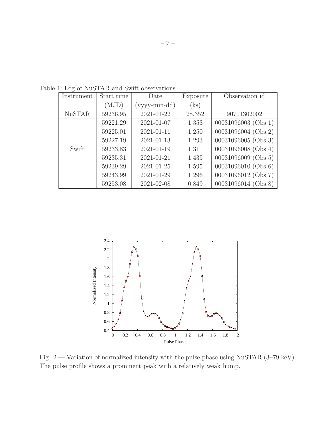<span id="page-6-0"></span>

| Instrument    | Start time | Date         | Exposure | Observation id      |
|---------------|------------|--------------|----------|---------------------|
|               | (MJD)      | (yyyy-mm-dd) | (ks)     |                     |
| <b>NuSTAR</b> | 59236.95   | 2021-01-22   | 28.352   | 90701302002         |
|               | 59221.29   | 2021-01-07   | 1.353    | 00031096003 (Obs 1) |
|               | 59225.01   | 2021-01-11   | 1.250    | 00031096004 (Obs 2) |
|               | 59227.19   | 2021-01-13   | 1.293    | 00031096005 (Obs 3) |
| Swift         | 59233.83   | 2021-01-19   | 1.311    | 00031096008 (Obs 4) |
|               | 59235.31   | 2021-01-21   | 1.435    | 00031096009 (Obs 5) |
|               | 59239.29   | 2021-01-25   | 1.595    | 00031096010 (Obs 6) |
|               | 59243.99   | 2021-01-29   | 1.296    | 00031096012 (Obs 7) |
|               | 59253.08   | 2021-02-08   | 0.849    | 00031096014 (Obs 8) |

Table 1: Log of NuSTAR and Swift observations



<span id="page-6-1"></span>Fig. 2.— Variation of normalized intensity with the pulse phase using NuSTAR (3–79 keV). The pulse profile shows a prominent peak with a relatively weak hump.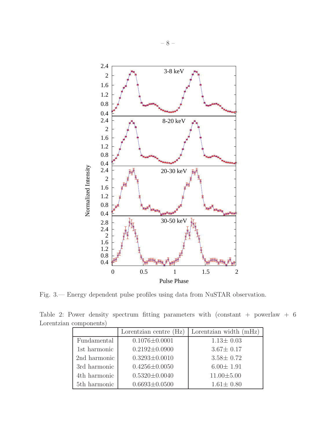

<span id="page-7-0"></span>Fig. 3.— Energy dependent pulse profiles using data from NuSTAR observation.

Table 2: Power density spectrum fitting parameters with (constant + powerlaw + 6 Lorentzian components)

<span id="page-7-1"></span>

|              | Lorentzian centre $(Hz)$ | Lorentzian width (mHz) |
|--------------|--------------------------|------------------------|
| Fundamental  | $0.1076 \pm 0.0001$      | $1.13 \pm 0.03$        |
| 1st harmonic | $0.2192 \pm 0.0900$      | $3.67 \pm 0.17$        |
| 2nd harmonic | $0.3293\pm0.0010$        | $3.58 \pm 0.72$        |
| 3rd harmonic | $0.4256 \pm 0.0050$      | $6.00 \pm 1.91$        |
| 4th harmonic | $0.5320 \pm 0.0040$      | $11.00 \pm 5.00$       |
| 5th harmonic | $0.6693 \pm 0.0500$      | $1.61 \pm 0.80$        |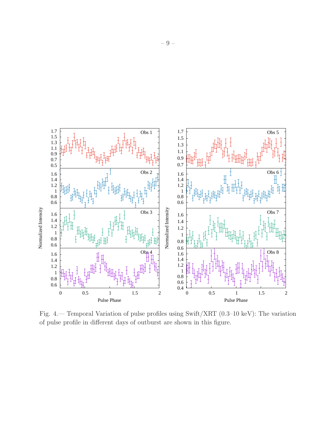

<span id="page-8-0"></span>Fig. 4.— Temporal Variation of pulse profiles using Swift/XRT (0.3–10 keV): The variation of pulse profile in different days of outburst are shown in this figure.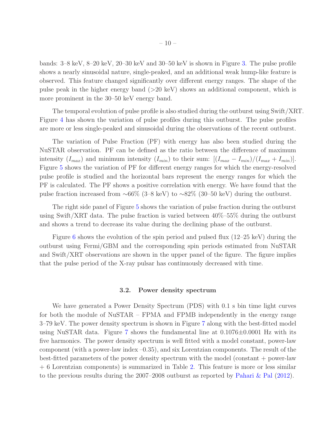bands: 3–8 keV, 8–20 keV, 20–30 keV and 30–50 keV is shown in Figure [3.](#page-7-0) The pulse profile shows a nearly sinusoidal nature, single-peaked, and an additional weak hump-like feature is observed. This feature changed significantly over different energy ranges. The shape of the pulse peak in the higher energy band  $(>20 \text{ keV})$  shows an additional component, which is more prominent in the 30–50 keV energy band.

The temporal evolution of pulse profile is also studied during the outburst using Swift/XRT. Figure [4](#page-8-0) has shown the variation of pulse profiles during this outburst. The pulse profiles are more or less single-peaked and sinusoidal during the observations of the recent outburst.

The variation of Pulse Fraction (PF) with energy has also been studied during the NuSTAR observation. PF can be defined as the ratio between the difference of maximum intensity  $(I_{max})$  and minimum intensity  $(I_{min})$  to their sum:  $[(I_{max} - I_{min})/(I_{max} + I_{min})]$ . Figure [5](#page-10-0) shows the variation of PF for different energy ranges for which the energy-resolved pulse profile is studied and the horizontal bars represent the energy ranges for which the PF is calculated. The PF shows a positive correlation with energy. We have found that the pulse fraction increased from  $\sim 66\%$  (3–8 keV) to  $\sim 82\%$  (30–50 keV) during the outburst.

The right side panel of Figure [5](#page-10-0) shows the variation of pulse fraction during the outburst using Swift/XRT data. The pulse fraction is varied between 40%–55% during the outburst and shows a trend to decrease its value during the declining phase of the outburst.

Figure [6](#page-11-0) shows the evolution of the spin period and pulsed flux (12–25 keV) during the outburst using Fermi/GBM and the corresponding spin periods estimated from NuSTAR and Swift/XRT observations are shown in the upper panel of the figure. The figure implies that the pulse period of the X-ray pulsar has continuously decreased with time.

#### 3.2. Power density spectrum

We have generated a Power Density Spectrum (PDS) with 0.1 s bin time light curves for both the module of NuSTAR – FPMA and FPMB independently in the energy range 3–79 keV. The power density spectrum is shown in Figure [7](#page-12-1) along with the best-fitted model using NuSTAR data. Figure [7](#page-12-1) shows the fundamental line at  $0.1076\pm0.0001$  Hz with its five harmonics. The power density spectrum is well fitted with a model constant, power-law component (with a power-law index –0.35), and six Lorentzian components. The result of the best-fitted parameters of the power density spectrum with the model (constant + power-law + 6 Lorentzian components) is summarized in Table [2.](#page-7-1) This feature is more or less similar to the previous results during the 2007–2008 outburst as reported by [Pahari & Pal](#page-15-1) [\(2012\)](#page-15-1).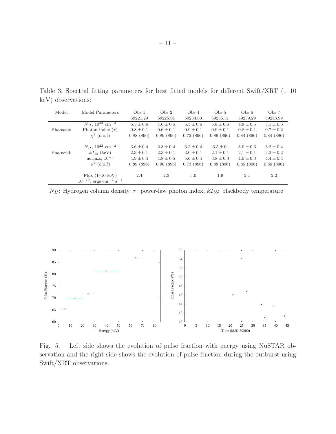|  |                    | Table 3: Spectral fitting parameters for best fitted models for different Swift/XRT $(1-10)$ |  |  |  |  |  |
|--|--------------------|----------------------------------------------------------------------------------------------|--|--|--|--|--|
|  | keV) observations: |                                                                                              |  |  |  |  |  |

<span id="page-10-1"></span>

| Model    | Model Parameters                                   | Obs <sub>1</sub> | Obs <sub>2</sub> | Obs <sub>4</sub> | Obs <sub>5</sub> | Obs 6         | Obs <sub>7</sub> |
|----------|----------------------------------------------------|------------------|------------------|------------------|------------------|---------------|------------------|
|          |                                                    | 59221.29         | 59225.01         | 59233.83         | 59235.31         | 59239.29      | 59243.99         |
|          | $N_H$ , 10 <sup>22</sup> cm <sup>-2</sup>          | $5.5 \pm 0.6$    | $4.6 \pm 0.5$    | $5.3 \pm 0.6$    | $5.8 \pm 0.6$    | $4.8 \pm 0.5$ | $5.1 \pm 0.6$    |
| Phabs*po | Photon index $(\tau)$                              | $0.8 \pm 0.1$    | $0.6 \pm 0.1$    | $0.9 \pm 0.1$    | $0.9 \pm 0.1$    | $0.8 \pm 0.1$ | $0.7 \pm 0.2$    |
|          | $\chi^2$ (d.o.f)                                   | 0.88(896)        | 0.89(896)        | 0.72(896)        | 0.89(896)        | 0.84(896)     | 0.84(896)        |
|          |                                                    |                  |                  |                  |                  |               |                  |
|          | $N_H$ , 10 <sup>22</sup> cm <sup>-2</sup>          | $3.6 \pm 0.4$    | $2.8 \pm 0.4$    | $3.2 \pm 0.4$    | $3.5 \pm 0.$     | $3.0 \pm 0.3$ | $3.2 \pm 0.4$    |
| Phabs*bb | $kT_{hh}$ (keV)                                    | $2.3 \pm 0.1$    | $2.3 \pm 0.1$    | $2.0 \pm 0.1$    | $2.1 \pm 0.1$    | $2.1 \pm 0.1$ | $2.2 \pm 0.2$    |
|          | norm <sub>bb</sub> , $10^{-3}$                     | $4.9 \pm 0.4$    | $4.8 \pm 0.5$    | $5.6 \pm 0.4$    | $3.8 \pm 0.3$    | $4.0 \pm 0.3$ | $4.4 \pm 0.4$    |
|          | $\chi^2$ (d.o.f)                                   | 0.89(896)        | 0.90(896)        | 0.73(896)        | 0.88(896)        | 0.85(896)     | 0.86(896)        |
|          |                                                    |                  |                  |                  |                  |               |                  |
|          | Flux $(1-10 \text{ keV})$                          | 2.4              | 2.3              | 3.0              | 1.9              | 2.1           | 2.2              |
|          | $10^{-10}$ , ergs cm <sup>-2</sup> s <sup>-1</sup> |                  |                  |                  |                  |               |                  |

 $N_H$ : Hydrogen column density,  $\tau$ : power-law photon index,  $kT_{bb}$ : blackbody temperature



<span id="page-10-0"></span>Fig. 5.— Left side shows the evolution of pulse fraction with energy using NuSTAR observation and the right side shows the evolution of pulse fraction during the outburst using Swift/XRT observations.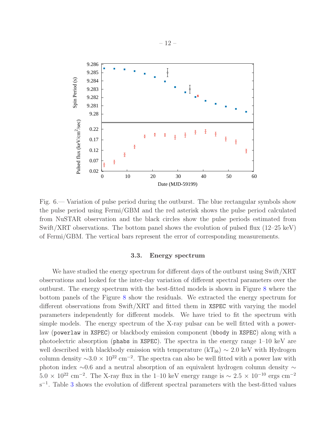

<span id="page-11-0"></span>Fig. 6.— Variation of pulse period during the outburst. The blue rectangular symbols show the pulse period using Fermi/GBM and the red asterisk shows the pulse period calculated from NuSTAR observation and the black circles show the pulse periods estimated from Swift/XRT observations. The bottom panel shows the evolution of pulsed flux  $(12-25 \text{ keV})$ of Fermi/GBM. The vertical bars represent the error of corresponding measurements.

## 3.3. Energy spectrum

We have studied the energy spectrum for different days of the outburst using Swift/XRT observations and looked for the inter-day variation of different spectral parameters over the outburst. The energy spectrum with the best-fitted models is shown in Figure [8](#page-16-0) where the bottom panels of the Figure [8](#page-16-0) show the residuals. We extracted the energy spectrum for different observations from Swift/XRT and fitted them in XSPEC with varying the model parameters independently for different models. We have tried to fit the spectrum with simple models. The energy spectrum of the X-ray pulsar can be well fitted with a powerlaw (powerlaw in XSPEC) or blackbody emission component (bbody in XSPEC) along with a photoelectric absorption (phabs in XSPEC). The spectra in the energy range 1–10 keV are well described with blackbody emission with temperature  $(kT_{bb}) \sim 2.0 \text{ keV}$  with Hydrogen column density  $\sim$ 3.0 × 10<sup>22</sup> cm<sup>-2</sup>. The spectra can also be well fitted with a power law with photon index ∼0.6 and a neutral absorption of an equivalent hydrogen column density ∼  $5.0 \times 10^{22}$  cm<sup>-2</sup>. The X-ray flux in the 1–10 keV energy range is  $\sim 2.5 \times 10^{-10}$  ergs cm<sup>-2</sup>  $s^{-1}$ . Table [3](#page-10-1) shows the evolution of different spectral parameters with the best-fitted values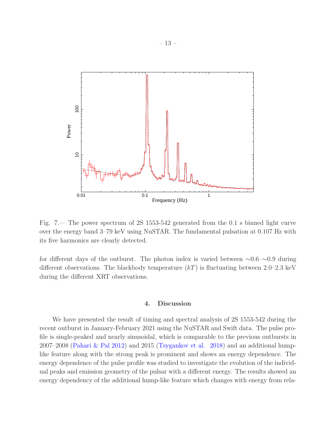

<span id="page-12-1"></span>Fig. 7.— The power spectrum of 2S 1553-542 generated from the 0.1 s binned light curve over the energy band 3–79 keV using NuSTAR. The fundamental pulsation at 0.107 Hz with its five harmonics are clearly detected.

for different days of the outburst. The photon index is varied between ∼0.6–∼0.9 during different observations. The blackbody temperature  $(kT)$  is fluctuating between 2.0–2.3 keV during the different XRT observations.

## 4. Discussion

<span id="page-12-0"></span>We have presented the result of timing and spectral analysis of 2S 1553-542 during the recent outburst in January-February 2021 using the NuSTAR and Swift data. The pulse profile is single-peaked and nearly sinusoidal, which is comparable to the previous outbursts in 2007–2008 [\(Pahari & Pal 2012\)](#page-15-1) and 2015 [\(Tsygankov et al. 2018\)](#page-15-2) and an additional humplike feature along with the strong peak is prominent and shows an energy dependence. The energy dependence of the pulse profile was studied to investigate the evolution of the individual peaks and emission geometry of the pulsar with a different energy. The results showed an energy dependency of the additional hump-like feature which changes with energy from rela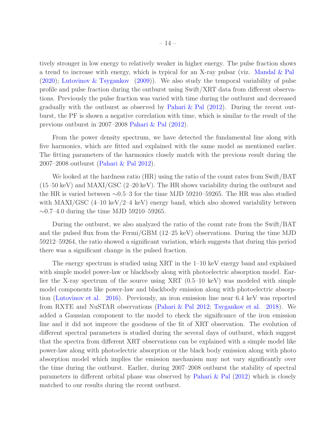tively stronger in low energy to relatively weaker in higher energy. The pulse fraction shows a trend to increase with energy, which is typical for an X-ray pulsar (viz. [Mandal & Pal](#page-15-10) [\(2020\)](#page-15-10); [Lutovinov & Tsygankov](#page-15-11) [\(2009\)](#page-15-11)). We also study the temporal variability of pulse profile and pulse fraction during the outburst using Swift/XRT data from different observations. Previously the pulse fraction was varied with time during the outburst and decreased gradually with the outburst as observed by [Pahari & Pal](#page-15-1)  $(2012)$  $(2012)$ . During the recent outburst, the PF is shown a negative correlation with time, which is similar to the result of the previous outburst in 2007–2008 [Pahari & Pal](#page-15-1) [\(2012\)](#page-15-1).

From the power density spectrum, we have detected the fundamental line along with five harmonics, which are fitted and explained with the same model as mentioned earlier. The fitting parameters of the harmonics closely match with the previous result during the 2007–2008 outburst [\(Pahari & Pal 2012](#page-15-1)).

We looked at the hardness ratio (HR) using the ratio of the count rates from Swift/BAT (15–50 keV) and MAXI/GSC (2–20 keV). The HR shows variability during the outburst and the HR is varied between ∼0.5–3 for the time MJD 59210–59265. The HR was also studied with MAXI/GSC  $(4-10 \text{ keV})^2-4 \text{ keV})$  energy band, which also showed variability between ∼0.7–4.0 during the time MJD 59210–59265.

During the outburst, we also analyzed the ratio of the count rate from the Swift/BAT and the pulsed flux from the Fermi/GBM (12–25 keV) observations. During the time MJD 59212–59264, the ratio showed a significant variation, which suggests that during this period there was a significant change in the pulsed fraction.

The energy spectrum is studied using XRT in the 1–10 keV energy band and explained with simple model power-law or blackbody along with photoelectric absorption model. Earlier the X-ray spectrum of the source using XRT (0.5–10 keV) was modeled with simple model components like power-law and blackbody emission along with photoelectric absorption [\(Lutovinov et al. 2016\)](#page-15-12). Previously, an iron emission line near 6.4 keV was reported from RXTE and NuSTAR observations [\(Pahari & Pal 2012;](#page-15-1) [Tsygankov et al. 2018](#page-15-2)). We added a Gaussian component to the model to check the significance of the iron emission line and it did not improve the goodness of the fit of XRT observation. The evolution of different spectral parameters is studied during the several days of outburst, which suggest that the spectra from different XRT observations can be explained with a simple model like power-law along with photoelectric absorption or the black body emission along with photo absorption model which implies the emission mechanism may not vary significantly over the time during the outburst. Earlier, during 2007–2008 outburst the stability of spectral parameters in different orbital phase was observed by [Pahari & Pal](#page-15-1) [\(2012\)](#page-15-1) which is closely matched to our results during the recent outburst.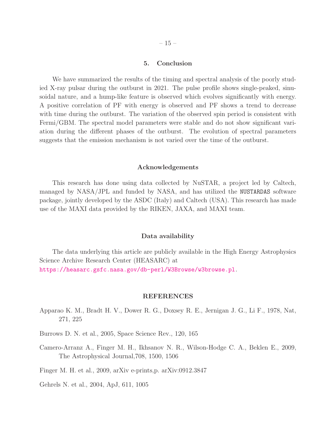## 5. Conclusion

<span id="page-14-1"></span>We have summarized the results of the timing and spectral analysis of the poorly studied X-ray pulsar during the outburst in 2021. The pulse profile shows single-peaked, sinusoidal nature, and a hump-like feature is observed which evolves significantly with energy. A positive correlation of PF with energy is observed and PF shows a trend to decrease with time during the outburst. The variation of the observed spin period is consistent with Fermi/GBM. The spectral model parameters were stable and do not show significant variation during the different phases of the outburst. The evolution of spectral parameters suggests that the emission mechanism is not varied over the time of the outburst.

#### Acknowledgements

This research has done using data collected by NuSTAR, a project led by Caltech, managed by NASA/JPL and funded by NASA, and has utilized the NUSTARDAS software package, jointly developed by the ASDC (Italy) and Caltech (USA). This research has made use of the MAXI data provided by the RIKEN, JAXA, and MAXI team.

## Data availability

The data underlying this article are publicly available in the High Energy Astrophysics Science Archive Research Center (HEASARC) at <https://heasarc.gsfc.nasa.gov/db-perl/W3Browse/w3browse.pl>.

#### REFERENCES

- <span id="page-14-0"></span>Apparao K. M., Bradt H. V., Dower R. G., Doxsey R. E., Jernigan J. G., Li F., 1978, Nat, 271, 225
- Burrows D. N. et al., 2005, Space Science Rev., 120, 165
- <span id="page-14-3"></span>Camero-Arranz A., Finger M. H., Ikhsanov N. R., Wilson-Hodge C. A., Beklen E., 2009, The Astrophysical Journal,708, 1500, 1506
- <span id="page-14-4"></span>Finger M. H. et al., 2009, arXiv e-prints,p. arXiv:0912.3847
- <span id="page-14-2"></span>Gehrels N. et al., 2004, ApJ, 611, 1005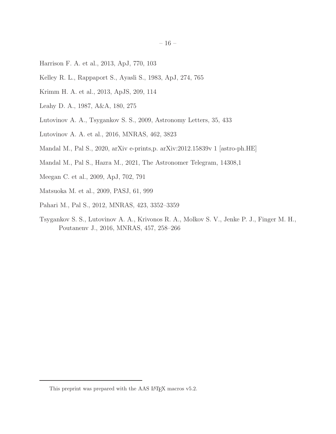- <span id="page-15-4"></span>Harrison F. A. et al., 2013, ApJ, 770, 103
- <span id="page-15-0"></span>Kelley R. L., Rappaport S., Ayasli S., 1983, ApJ, 274, 765
- <span id="page-15-6"></span>Krimm H. A. et al., 2013, ApJS, 209, 114
- <span id="page-15-8"></span>Leahy D. A., 1987, A&A, 180, 275
- <span id="page-15-11"></span>Lutovinov A. A., Tsygankov S. S., 2009, Astronomy Letters, 35, 433
- <span id="page-15-12"></span>Lutovinov A. A. et al., 2016, MNRAS, 462, 3823
- <span id="page-15-10"></span>Mandal M., Pal S., 2020, arXiv e-prints,p. arXiv:2012.15839v 1 [astro-ph.HE]
- <span id="page-15-3"></span>Mandal M., Pal S., Hazra M., 2021, The Astronomer Telegram, 14308,1
- <span id="page-15-5"></span>Meegan C. et al., 2009, ApJ, 702, 791
- <span id="page-15-7"></span>Matsuoka M. et al., 2009, PASJ, 61, 999
- <span id="page-15-1"></span>Pahari M., Pal S., 2012, MNRAS, 423, 3352–3359
- <span id="page-15-2"></span>Tsygankov S. S., Lutovinov A. A., Krivonos R. A., Molkov S. V., Jenke P. J., Finger M. H., Poutanenv J., 2016, MNRAS, 457, 258–266

<span id="page-15-9"></span>This preprint was prepared with the AAS IATEX macros v5.2.